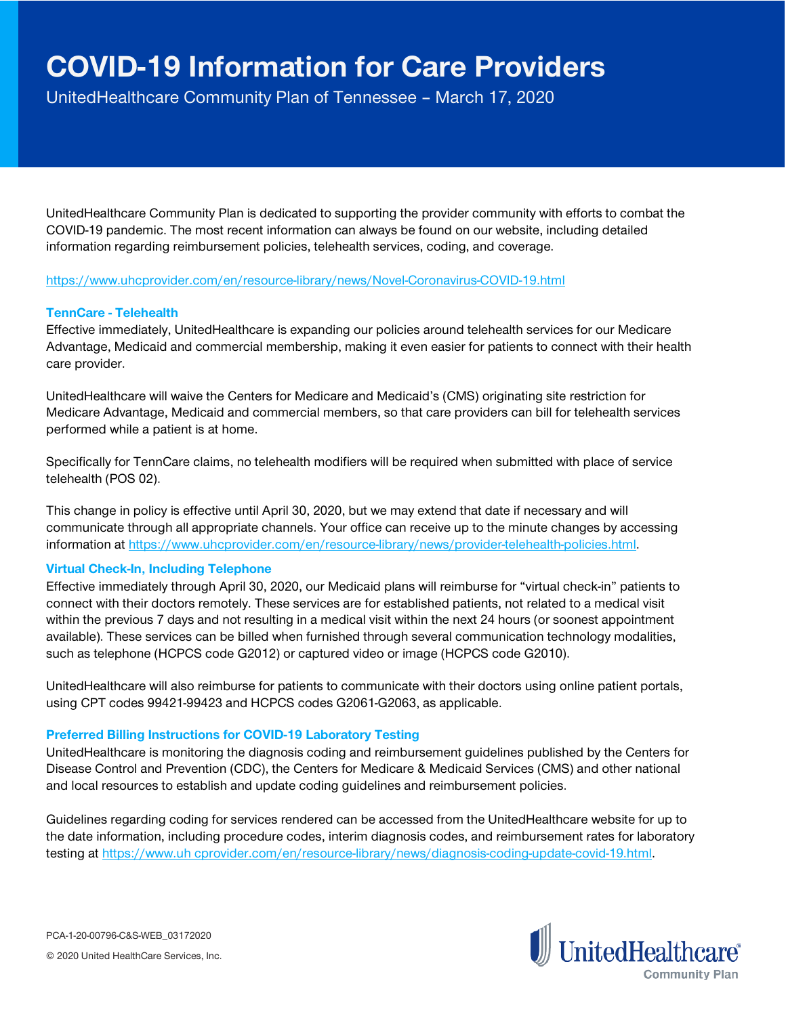# **COVID-19 Information for Care Providers**

UnitedHealthcare Community Plan of Tennessee – March 17, 2020

UnitedHealthcare Community Plan is dedicated to supporting the provider community with efforts to combat the COVID-19 pandemic. The most recent information can always be found on our website, including detailed information regarding reimbursement policies, telehealth services, coding, and coverage.

### <https://www.uhcprovider.com/en/resource-library/news/Novel-Coronavirus-COVID-19.html>

### **TennCare - Telehealth**

Effective immediately, UnitedHealthcare is expanding our policies around telehealth services for our Medicare Advantage, Medicaid and commercial membership, making it even easier for patients to connect with their health care provider.

UnitedHealthcare will waive the Centers for Medicare and Medicaid's (CMS) originating site restriction for Medicare Advantage, Medicaid and commercial members, so that care providers can bill for telehealth services performed while a patient is at home.

Specifically for TennCare claims, no telehealth modifiers will be required when submitted with place of service telehealth (POS 02).

This change in policy is effective until April 30, 2020, but we may extend that date if necessary and will communicate through all appropriate channels. Your office can receive up to the minute changes by accessing information at [https://www.uhcprovider.com/en/resource-library/news/provider-telehealth-policies.html.](https://www.uhcprovider.com/en/resource-library/news/provider-telehealth-policies.html)

# **Virtual Check-In, Including Telephone**

Effective immediately through April 30, 2020, our Medicaid plans will reimburse for "virtual check-in" patients to connect with their doctors remotely. These services are for established patients, not related to a medical visit within the previous 7 days and not resulting in a medical visit within the next 24 hours (or soonest appointment available). These services can be billed when furnished through several communication technology modalities, such as telephone (HCPCS code G2012) or captured video or image (HCPCS code G2010).

UnitedHealthcare will also reimburse for patients to communicate with their doctors using online patient portals, using CPT codes 99421-99423 and HCPCS codes G2061-G2063, as applicable.

# **Preferred Billing Instructions for COVID-19 Laboratory Testing**

UnitedHealthcare is monitoring the diagnosis coding and reimbursement guidelines published by the Centers for Disease Control and Prevention (CDC), the Centers for Medicare & Medicaid Services (CMS) and other national and local resources to establish and update coding guidelines and reimbursement policies.

Guidelines regarding coding for services rendered can be accessed from the UnitedHealthcare website for up to the date information, including procedure codes, interim diagnosis codes, and reimbursement rates for laboratory testing at https://www.uh cprovider.com/en/resource-library/news/diagnosis-coding-update-covid-19.html.